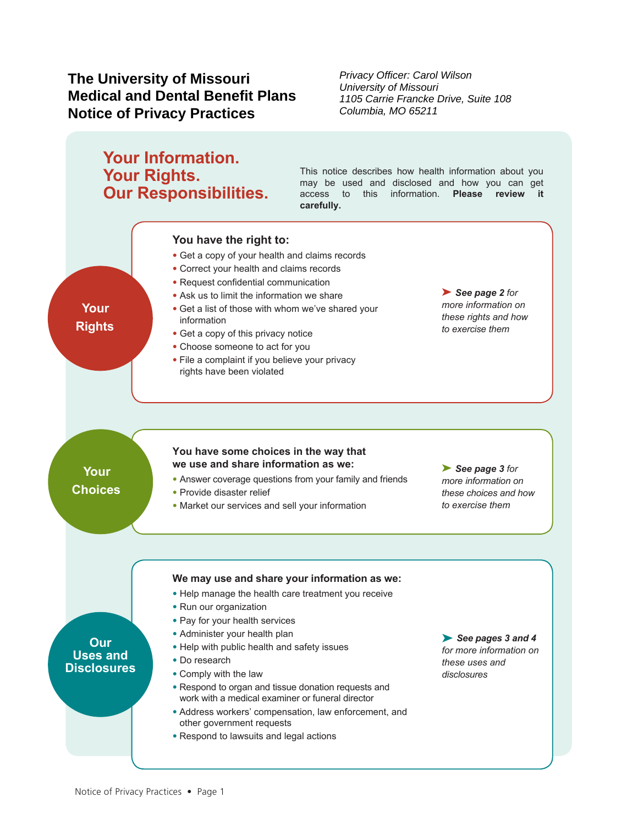## **The University of Missouri Medical and Dental Benefit Plans Notice of Privacy Practices**

Privacy Officer: Carol Wilson University of Missouri 1105 Carrie Francke Drive, Suite 108 Columbia, MO 65211

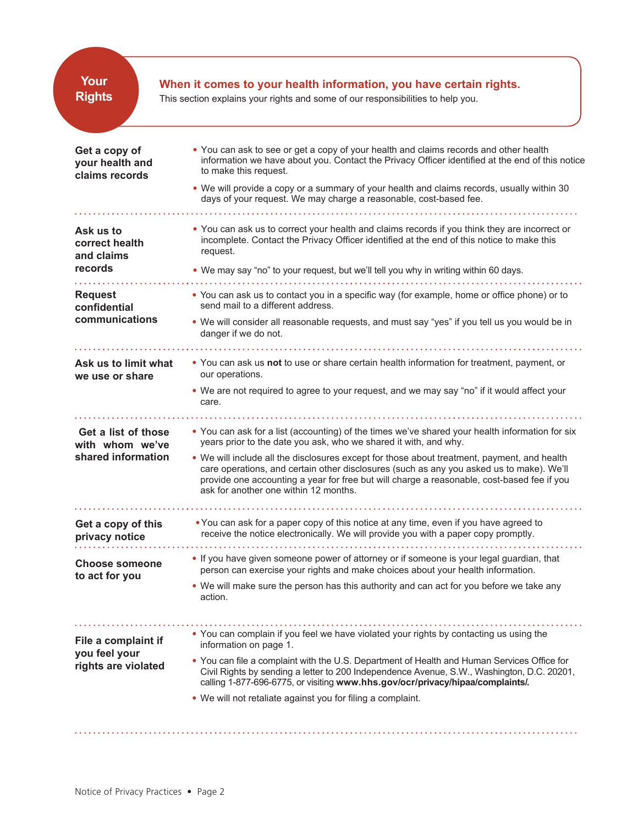| Your<br><b>Rights</b>                                | When it comes to your health information, you have certain rights.<br>This section explains your rights and some of our responsibilities to help you.                                                                                                                                                                          |
|------------------------------------------------------|--------------------------------------------------------------------------------------------------------------------------------------------------------------------------------------------------------------------------------------------------------------------------------------------------------------------------------|
| Get a copy of<br>your health and<br>claims records   | • You can ask to see or get a copy of your health and claims records and other health<br>information we have about you. Contact the Privacy Officer identified at the end of this notice<br>to make this request.                                                                                                              |
|                                                      | . We will provide a copy or a summary of your health and claims records, usually within 30<br>days of your request. We may charge a reasonable, cost-based fee.                                                                                                                                                                |
|                                                      |                                                                                                                                                                                                                                                                                                                                |
| Ask us to<br>correct health<br>and claims<br>records | • You can ask us to correct your health and claims records if you think they are incorrect or<br>incomplete. Contact the Privacy Officer identified at the end of this notice to make this<br>request.                                                                                                                         |
|                                                      | . We may say "no" to your request, but we'll tell you why in writing within 60 days.                                                                                                                                                                                                                                           |
| <b>Request</b><br>confidential<br>communications     | • You can ask us to contact you in a specific way (for example, home or office phone) or to<br>send mail to a different address.                                                                                                                                                                                               |
|                                                      | . We will consider all reasonable requests, and must say "yes" if you tell us you would be in<br>danger if we do not.                                                                                                                                                                                                          |
|                                                      |                                                                                                                                                                                                                                                                                                                                |
| Ask us to limit what<br>we use or share              | • You can ask us not to use or share certain health information for treatment, payment, or<br>our operations.                                                                                                                                                                                                                  |
|                                                      | . We are not required to agree to your request, and we may say "no" if it would affect your<br>care.                                                                                                                                                                                                                           |
|                                                      |                                                                                                                                                                                                                                                                                                                                |
| Get a list of those<br>with whom we've               | . You can ask for a list (accounting) of the times we've shared your health information for six<br>years prior to the date you ask, who we shared it with, and why.                                                                                                                                                            |
| shared information                                   | • We will include all the disclosures except for those about treatment, payment, and health<br>care operations, and certain other disclosures (such as any you asked us to make). We'll<br>provide one accounting a year for free but will charge a reasonable, cost-based fee if you<br>ask for another one within 12 months. |
|                                                      |                                                                                                                                                                                                                                                                                                                                |
| Get a copy of this<br>privacy notice                 | • You can ask for a paper copy of this notice at any time, even if you have agreed to<br>receive the notice electronically. We will provide you with a paper copy promptly.                                                                                                                                                    |
| Choose someone<br>to act for you                     | . If you have given someone power of attorney or if someone is your legal guardian, that<br>person can exercise your rights and make choices about your health information.                                                                                                                                                    |
|                                                      | . We will make sure the person has this authority and can act for you before we take any<br>action.                                                                                                                                                                                                                            |
|                                                      | • You can complain if you feel we have violated your rights by contacting us using the                                                                                                                                                                                                                                         |
| File a complaint if                                  | information on page 1.                                                                                                                                                                                                                                                                                                         |
| you feel your<br>rights are violated                 | • You can file a complaint with the U.S. Department of Health and Human Services Office for<br>Civil Rights by sending a letter to 200 Independence Avenue, S.W., Washington, D.C. 20201,<br>calling 1-877-696-6775, or visiting www.hhs.gov/ocr/privacy/hipaa/complaints/.                                                    |
|                                                      | • We will not retaliate against you for filing a complaint.                                                                                                                                                                                                                                                                    |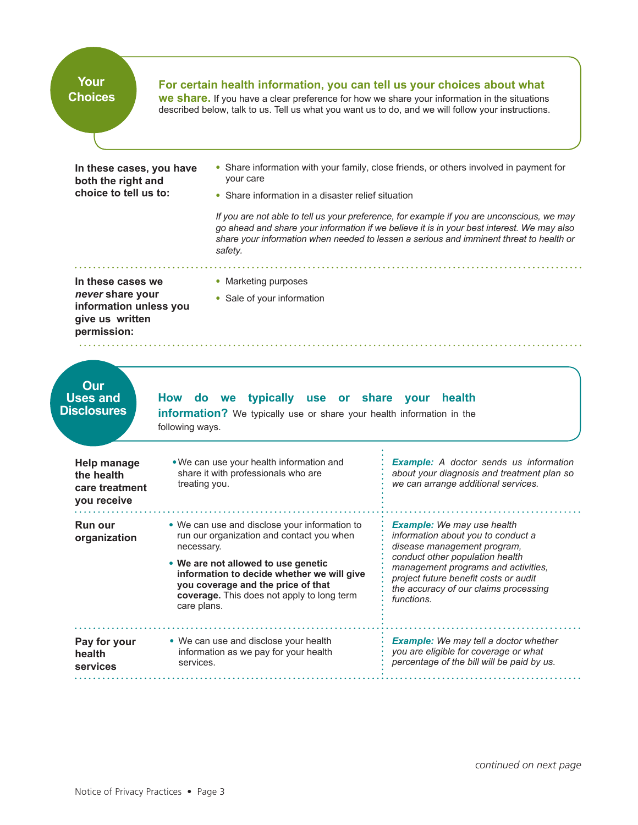| Your<br><b>Choices</b>                                                  |                 | For certain health information, you can tell us your choices about what<br><b>we share.</b> If you have a clear preference for how we share your information in the situations<br>described below, talk to us. Tell us what you want us to do, and we will follow your instructions.                                                                 |                                                                                                                                                                                                                                                                       |  |
|-------------------------------------------------------------------------|-----------------|------------------------------------------------------------------------------------------------------------------------------------------------------------------------------------------------------------------------------------------------------------------------------------------------------------------------------------------------------|-----------------------------------------------------------------------------------------------------------------------------------------------------------------------------------------------------------------------------------------------------------------------|--|
| In these cases, you have<br>both the right and<br>choice to tell us to: |                 | • Share information with your family, close friends, or others involved in payment for<br>your care                                                                                                                                                                                                                                                  |                                                                                                                                                                                                                                                                       |  |
|                                                                         |                 | • Share information in a disaster relief situation<br>If you are not able to tell us your preference, for example if you are unconscious, we may<br>go ahead and share your information if we believe it is in your best interest. We may also<br>share your information when needed to lessen a serious and imminent threat to health or<br>safety. |                                                                                                                                                                                                                                                                       |  |
|                                                                         |                 |                                                                                                                                                                                                                                                                                                                                                      |                                                                                                                                                                                                                                                                       |  |
|                                                                         |                 |                                                                                                                                                                                                                                                                                                                                                      |                                                                                                                                                                                                                                                                       |  |
| Our<br><b>Uses and</b><br><b>Disclosures</b>                            | following ways. | How do we typically use or share your health<br><b>information?</b> We typically use or share your health information in the                                                                                                                                                                                                                         |                                                                                                                                                                                                                                                                       |  |
| <b>Help manage</b><br>the health<br>care treatment<br>you receive       | treating you.   | . We can use your health information and<br>share it with professionals who are                                                                                                                                                                                                                                                                      | we can arrange additional services.                                                                                                                                                                                                                                   |  |
| <b>Run our</b><br>organization                                          | necessary.      | • We can use and disclose your information to<br>run our organization and contact you when                                                                                                                                                                                                                                                           | <b>Example:</b> We may use health<br>information about you to conduct a<br>disease management program,                                                                                                                                                                |  |
|                                                                         | care plans.     | . We are not allowed to use genetic<br>information to decide whether we will give<br>you coverage and the price of that<br>coverage. This does not apply to long term                                                                                                                                                                                | <b>Example:</b> A doctor sends us information<br>about your diagnosis and treatment plan so<br>conduct other population health<br>management programs and activities,<br>project future benefit costs or audit<br>the accuracy of our claims processing<br>functions. |  |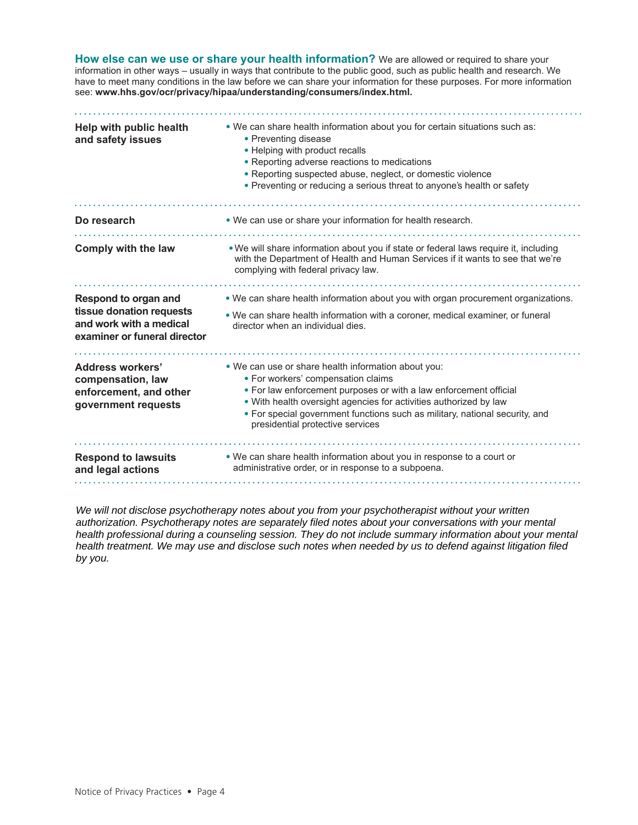**How else can we use or share your health information?** We are allowed or required to share your information in other ways – usually in ways that contribute to the public good, such as public health and research. We have to meet many conditions in the law before we can share your information for these purposes. For more information see: **[www.hhs.gov/ocr/privacy/hipaa/understanding/consumers/index.h](www.hhs.gov/ocr/privacy/hipaa/understanding/consumers/index.html.)tml.**

| Help with public health<br>and safety issues                                                                | . We can share health information about you for certain situations such as:<br>• Preventing disease<br>• Helping with product recalls<br>• Reporting adverse reactions to medications<br>• Reporting suspected abuse, neglect, or domestic violence<br>• Preventing or reducing a serious threat to anyone's health or safety                          |
|-------------------------------------------------------------------------------------------------------------|--------------------------------------------------------------------------------------------------------------------------------------------------------------------------------------------------------------------------------------------------------------------------------------------------------------------------------------------------------|
| Do research                                                                                                 | . We can use or share your information for health research.                                                                                                                                                                                                                                                                                            |
| Comply with the law                                                                                         | . We will share information about you if state or federal laws require it, including<br>with the Department of Health and Human Services if it wants to see that we're<br>complying with federal privacy law.                                                                                                                                          |
| Respond to organ and<br>tissue donation requests<br>and work with a medical<br>examiner or funeral director | . We can share health information about you with organ procurement organizations.<br>. We can share health information with a coroner, medical examiner, or funeral<br>director when an individual dies.                                                                                                                                               |
| <b>Address workers'</b><br>compensation, law<br>enforcement, and other<br>government requests               | . We can use or share health information about you:<br>• For workers' compensation claims<br>• For law enforcement purposes or with a law enforcement official<br>. With health oversight agencies for activities authorized by law<br>• For special government functions such as military, national security, and<br>presidential protective services |
| <b>Respond to lawsuits</b><br>and legal actions                                                             | . We can share health information about you in response to a court or<br>administrative order, or in response to a subpoena.                                                                                                                                                                                                                           |

We will not disclose psychotherapy notes about you from your psychotherapist without your written authorization. Psychotherapy notes are separately filed notes about your conversations with your mental health professional during a counseling session. They do not include summary information about your mental health treatment. We may use and disclose such notes when needed by us to defend against litigation filed by you.